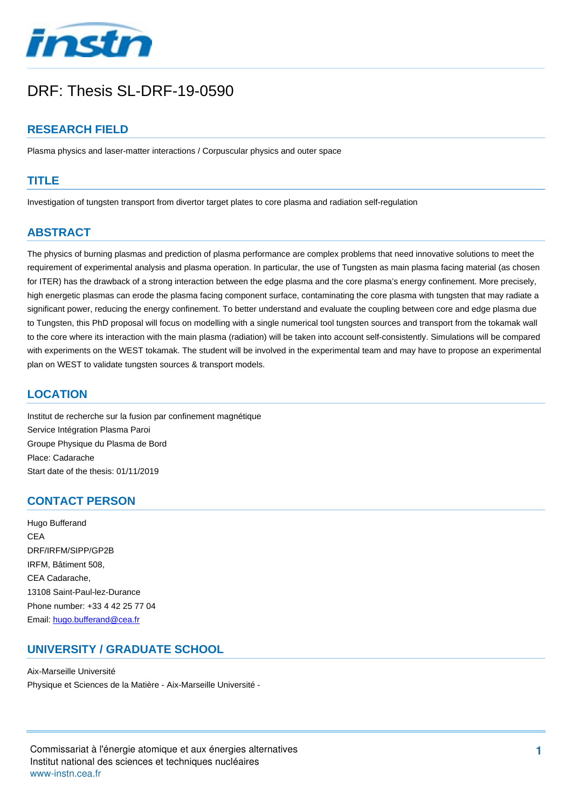

# DRF: Thesis SL-DRF-19-0590

## **RESEARCH FIELD**

Plasma physics and laser-matter interactions / Corpuscular physics and outer space

#### **TITLE**

Investigation of tungsten transport from divertor target plates to core plasma and radiation self-regulation

## **ABSTRACT**

The physics of burning plasmas and prediction of plasma performance are complex problems that need innovative solutions to meet the requirement of experimental analysis and plasma operation. In particular, the use of Tungsten as main plasma facing material (as chosen for ITER) has the drawback of a strong interaction between the edge plasma and the core plasma's energy confinement. More precisely, high energetic plasmas can erode the plasma facing component surface, contaminating the core plasma with tungsten that may radiate a significant power, reducing the energy confinement. To better understand and evaluate the coupling between core and edge plasma due to Tungsten, this PhD proposal will focus on modelling with a single numerical tool tungsten sources and transport from the tokamak wall to the core where its interaction with the main plasma (radiation) will be taken into account self-consistently. Simulations will be compared with experiments on the WEST tokamak. The student will be involved in the experimental team and may have to propose an experimental plan on WEST to validate tungsten sources & transport models.

#### **LOCATION**

Institut de recherche sur la fusion par confinement magnétique Service Intégration Plasma Paroi Groupe Physique du Plasma de Bord Place: Cadarache Start date of the thesis: 01/11/2019

## **CONTACT PERSON**

Hugo Bufferand CEA DRF/IRFM/SIPP/GP2B IRFM, Bâtiment 508, CEA Cadarache, 13108 Saint-Paul-lez-Durance Phone number: +33 4 42 25 77 04 Email: [hugo.bufferand@cea.fr](mailto:hugo.bufferand@cea.fr?subject=DRF: Thesis SL-DRF-19-0590&body=Investigation of tungsten transport from divertor target plates to core plasma and radiation self-regulation)

### **UNIVERSITY / GRADUATE SCHOOL**

Aix-Marseille Université Physique et Sciences de la Matière - Aix-Marseille Université -